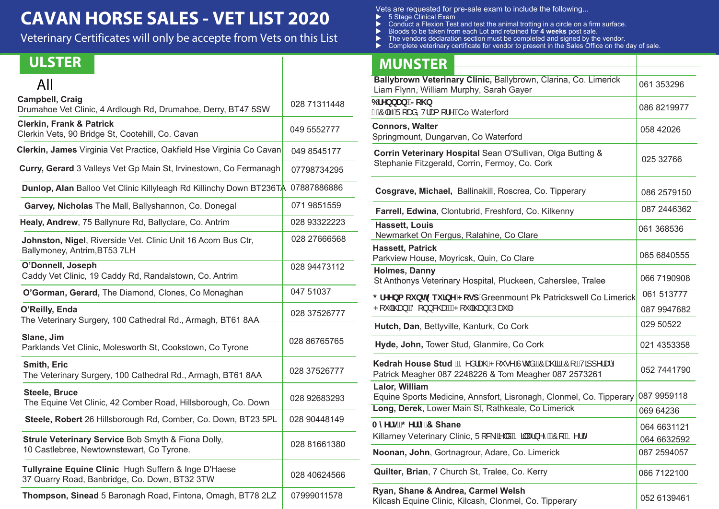# **CAVAN HORSE SALES - VET LIST 2020**

Veterinary Certificates will only be accepte from Vets on this List

| All                                                                                                   |              |
|-------------------------------------------------------------------------------------------------------|--------------|
| <b>Campbell, Craig</b><br>Drumahoe Vet Clinic, 4 Ardlough Rd, Drumahoe, Derry, BT47 5SW               | 028 71311448 |
| <b>Clerkin, Frank &amp; Patrick</b><br>Clerkin Vets, 90 Bridge St, Cootehill, Co. Cavan               | 049 5552777  |
| Clerkin, James Virginia Vet Practice, Oakfield Hse Virginia Co Cavan                                  | 049 8545177  |
| Curry, Gerard 3 Valleys Vet Gp Main St, Irvinestown, Co Fermanagh                                     | 07798734295  |
| Dunlop, Alan Balloo Vet Clinic Killyleagh Rd Killinchy Down BT236TA 07887886886                       |              |
| Garvey, Nicholas The Mall, Ballyshannon, Co. Donegal                                                  | 071 9851559  |
| Healy, Andrew, 75 Ballynure Rd, Ballyclare, Co. Antrim                                                | 028 93322223 |
| Johnston, Nigel, Riverside Vet. Clinic Unit 16 Acorn Bus Ctr,<br>Ballymoney, Antrim, BT53 7LH         | 028 27666568 |
| O'Donnell, Joseph<br>Caddy Vet Clinic, 19 Caddy Rd, Randalstown, Co. Antrim                           | 028 94473112 |
| O'Gorman, Gerard, The Diamond, Clones, Co Monaghan                                                    | 047 51037    |
| O'Reilly, Enda<br>The Veterinary Surgery, 100 Cathedral Rd., Armagh, BT61 8AA                         | 028 37526777 |
| Slane, Jim<br>Parklands Vet Clinic, Molesworth St, Cookstown, Co Tyrone                               | 028 86765765 |
| Smith, Eric<br>The Veterinary Surgery, 100 Cathedral Rd., Armagh, BT61 8AA                            | 028 37526777 |
| <b>Steele, Bruce</b><br>The Equine Vet Clinic, 42 Comber Road, Hillsborough, Co. Down                 | 028 92683293 |
| Steele, Robert 26 Hillsborough Rd, Comber, Co. Down, BT23 5PL                                         | 028 90448149 |
| Strule Veterinary Service Bob Smyth & Fiona Dolly,<br>10 Castlebree, Newtownstewart, Co Tyrone.       | 028 81661380 |
| Tullyraine Equine Clinic Hugh Suffern & Inge D'Haese<br>37 Quarry Road, Banbridge, Co. Down, BT32 3TW | 028 40624566 |
| Thompson, Sinead 5 Baronagh Road, Fintona, Omagh, BT78 2LZ                                            | 07999011578  |

Vets are requested for pre-sale exam to include the following...

- ▶ 5 Stage Clinical Exam
- ▶ Conduct a Flexion Test and test the animal trotting in a circle on a firm surface.
- Bloods to be taken from each Lot and retained for **4 weeks** post sale.
- ▶ The vendors declaration section must be completed and signed by the vendor.
- Complete veterinary certificate for vendor to present in the Sales Office on the day of sale.

### ULSTER MUNSTER

| IVIUND I ER                                                                                                                                  |                           |
|----------------------------------------------------------------------------------------------------------------------------------------------|---------------------------|
| Ballybrown Veterinary Clinic, Ballybrown, Clarina, Co. Limerick<br>Liam Flynn, William Murphy, Sarah Gayer                                   | 061 353296                |
| 6fYbbUbž>c\b<br>Î ÁÔ ã-ÁÜ[æå, V¦æ[ [¦^É∕iCo Waterford                                                                                        | 086 8219977               |
| <b>Connors, Walter</b><br>Springmount, Dungarvan, Co Waterford                                                                               | 058 42026                 |
| Corrin Veterinary Hospital Sean O'Sullivan, Olga Butting &<br>Stephanie Fitzgerald, Corrin, Fermoy, Co. Cork                                 | 025 32766                 |
| Cosgrave, Michael, Ballinakill, Roscrea, Co. Tipperary                                                                                       | 086 2579150               |
| Farrell, Edwina, Clontubrid, Freshford, Co. Kilkenny                                                                                         | 087 2446362               |
| <b>Hassett, Louis</b><br>Newmarket On Fergus, Ralahine, Co Clare                                                                             | 061 368536                |
| <b>Hassett, Patrick</b><br>Parkview House, Moyricsk, Quin, Co Clare                                                                          | 065 6840555               |
| Holmes, Danny<br>St Anthonys Veterinary Hospital, Pluckeen, Caherslee, Tralee                                                                | 066 7190908               |
| ; fYYba ci bh9ei ]bY' <cgd'greenmount co="" limerick<br="" patrickswell="" pk="">P[* ã@ea}ÉÁÖ[}}&amp;@ea4EÁP[* ã@ea}ÉÁÚæĭ Á</cgd'greenmount> | 061 513777<br>087 9947682 |
| Hutch, Dan, Bettyville, Kanturk, Co Cork                                                                                                     | 029 50522                 |
| Hyde, John, Tower Stud, Glanmire, Co Cork                                                                                                    | 021 4353358               |
| Kedrah House Stud ES^ålæ@ P[ `•^ Auc a EO æ@ EO FA/a ] ^ læ ^<br>Patrick Meagher 087 2248226 & Tom Meagher 087 2573261                       | 052 7441790               |
| Lalor, William<br>Equine Sports Medicine, Annsfort, Lisronagh, Clonmel, Co. Tipperary                                                        | 087 9959118               |
| Long, Derek, Lower Main St, Rathkeale, Co Limerick                                                                                           | 069 64236                 |
| AmYfgž; Yffm& Shane                                                                                                                          | 064 6631121               |
| Killarney Veterinary Clinic, Ü[ & - a a a a a a a c m 20 E a 11                                                                              | 064 6632592               |
| Noonan, John, Gortnagrour, Adare, Co. Limerick                                                                                               | 087 2594057               |
| Quilter, Brian, 7 Church St, Tralee, Co. Kerry                                                                                               | 066 7122100               |
| Ryan, Shane & Andrea, Carmel Welsh<br>Kilcash Equine Clinic, Kilcash, Clonmel, Co. Tipperary                                                 | 052 6139461               |